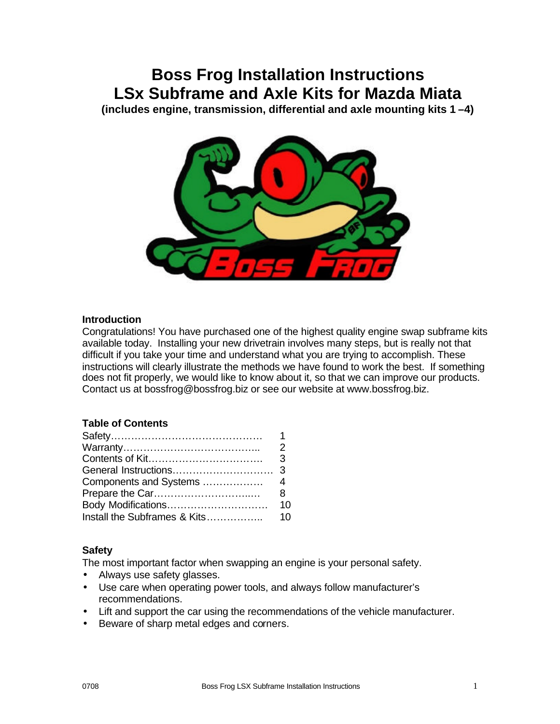# **Boss Frog Installation Instructions LSx Subframe and Axle Kits for Mazda Miata**

**(includes engine, transmission, differential and axle mounting kits 1 –4)**



### **Introduction**

Congratulations! You have purchased one of the highest quality engine swap subframe kits available today. Installing your new drivetrain involves many steps, but is really not that difficult if you take your time and understand what you are trying to accomplish. These instructions will clearly illustrate the methods we have found to work the best. If something does not fit properly, we would like to know about it, so that we can improve our products. Contact us at bossfrog@bossfrog.biz or see our website at www.bossfrog.biz.

# **Table of Contents**

| $\mathcal{P}$ |
|---------------|
|               |
|               |
|               |
|               |
|               |
| 10            |
|               |

### **Safety**

The most important factor when swapping an engine is your personal safety.

- Always use safety glasses.
- Use care when operating power tools, and always follow manufacturer's recommendations.
- Lift and support the car using the recommendations of the vehicle manufacturer.
- Beware of sharp metal edges and corners.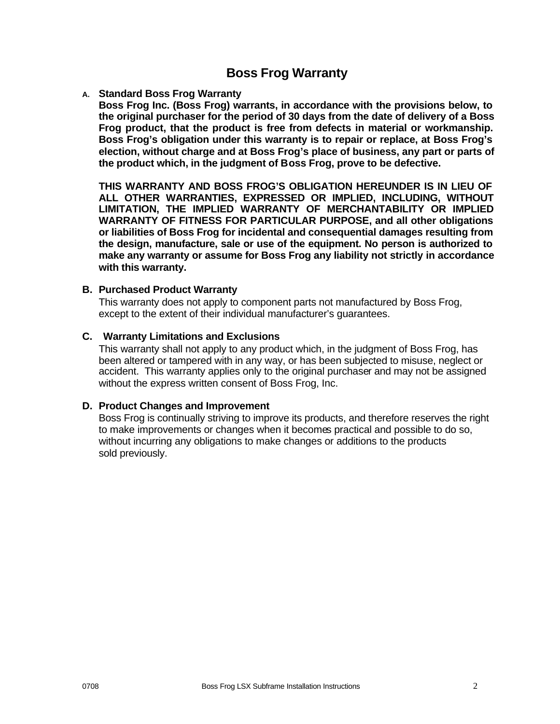# **Boss Frog Warranty**

### **A. Standard Boss Frog Warranty**

**Boss Frog Inc. (Boss Frog) warrants, in accordance with the provisions below, to the original purchaser for the period of 30 days from the date of delivery of a Boss Frog product, that the product is free from defects in material or workmanship. Boss Frog's obligation under this warranty is to repair or replace, at Boss Frog's election, without charge and at Boss Frog's place of business, any part or parts of the product which, in the judgment of Boss Frog, prove to be defective.**

**THIS WARRANTY AND BOSS FROG'S OBLIGATION HEREUNDER IS IN LIEU OF ALL OTHER WARRANTIES, EXPRESSED OR IMPLIED, INCLUDING, WITHOUT LIMITATION, THE IMPLIED WARRANTY OF MERCHANTABILITY OR IMPLIED WARRANTY OF FITNESS FOR PARTICULAR PURPOSE, and all other obligations or liabilities of Boss Frog for incidental and consequential damages resulting from the design, manufacture, sale or use of the equipment. No person is authorized to make any warranty or assume for Boss Frog any liability not strictly in accordance with this warranty.** 

#### **B. Purchased Product Warranty**

This warranty does not apply to component parts not manufactured by Boss Frog, except to the extent of their individual manufacturer's guarantees.

### **C. Warranty Limitations and Exclusions**

This warranty shall not apply to any product which, in the judgment of Boss Frog, has been altered or tampered with in any way, or has been subjected to misuse, neglect or accident. This warranty applies only to the original purchaser and may not be assigned without the express written consent of Boss Frog, Inc.

#### **D. Product Changes and Improvement**

Boss Frog is continually striving to improve its products, and therefore reserves the right to make improvements or changes when it becomes practical and possible to do so, without incurring any obligations to make changes or additions to the products sold previously.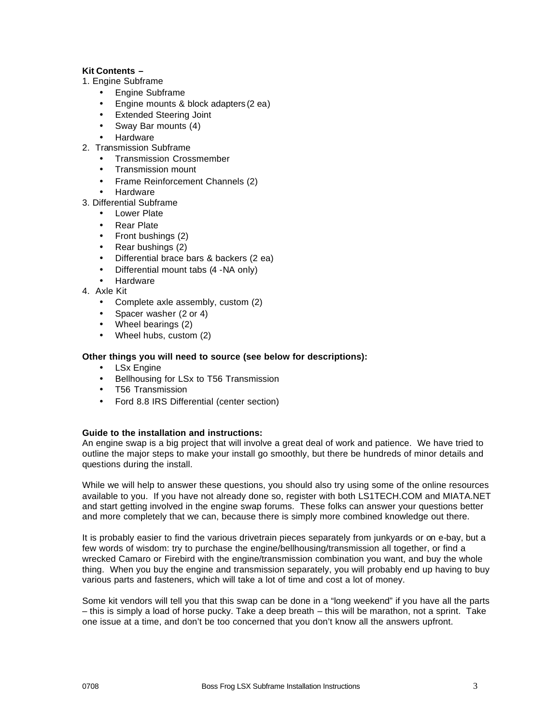#### **Kit Contents –**

- 1. Engine Subframe
	- Engine Subframe
	- Engine mounts & block adapters (2 ea)
	- Extended Steering Joint
	- Sway Bar mounts (4)
	- **Hardware**
- 2. Transmission Subframe
	- Transmission Crossmember
	- Transmission mount
	- Frame Reinforcement Channels (2)
	- Hardware
- 3. Differential Subframe
	- Lower Plate
	- Rear Plate
	- Front bushings (2)
	- Rear bushings (2)
	- Differential brace bars & backers (2 ea)
	- Differential mount tabs (4 -NA only)
	- **Hardware**
- 4. Axle Kit
	- Complete axle assembly, custom (2)
	- Spacer washer (2 or 4)
	- Wheel bearings (2)
	- Wheel hubs, custom (2)

#### **Other things you will need to source (see below for descriptions):**

- LSx Engine
- Bellhousing for LSx to T56 Transmission
- T56 Transmission
- Ford 8.8 IRS Differential (center section)

#### **Guide to the installation and instructions:**

An engine swap is a big project that will involve a great deal of work and patience. We have tried to outline the major steps to make your install go smoothly, but there be hundreds of minor details and questions during the install.

While we will help to answer these questions, you should also try using some of the online resources available to you. If you have not already done so, register with both LS1TECH.COM and MIATA.NET and start getting involved in the engine swap forums. These folks can answer your questions better and more completely that we can, because there is simply more combined knowledge out there.

It is probably easier to find the various drivetrain pieces separately from junkyards or on e-bay, but a few words of wisdom: try to purchase the engine/bellhousing/transmission all together, or find a wrecked Camaro or Firebird with the engine/transmission combination you want, and buy the whole thing. When you buy the engine and transmission separately, you will probably end up having to buy various parts and fasteners, which will take a lot of time and cost a lot of money.

Some kit vendors will tell you that this swap can be done in a "long weekend" if you have all the parts – this is simply a load of horse pucky. Take a deep breath – this will be marathon, not a sprint. Take one issue at a time, and don't be too concerned that you don't know all the answers upfront.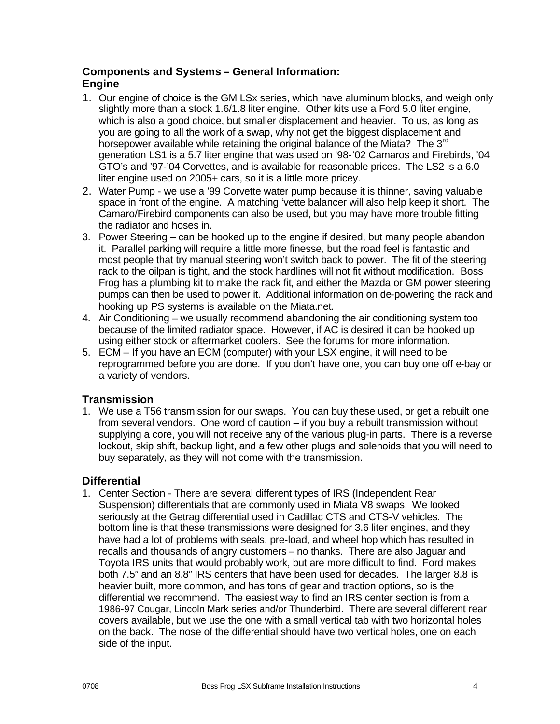# **Components and Systems – General Information: Engine**

- 1. Our engine of choice is the GM LSx series, which have aluminum blocks, and weigh only slightly more than a stock 1.6/1.8 liter engine. Other kits use a Ford 5.0 liter engine, which is also a good choice, but smaller displacement and heavier. To us, as long as you are going to all the work of a swap, why not get the biggest displacement and horsepower available while retaining the original balance of the Miata? The 3<sup>rd</sup> generation LS1 is a 5.7 liter engine that was used on '98-'02 Camaros and Firebirds, '04 GTO's and '97-'04 Corvettes, and is available for reasonable prices. The LS2 is a 6.0 liter engine used on 2005+ cars, so it is a little more pricey.
- 2. Water Pump we use a '99 Corvette water pump because it is thinner, saving valuable space in front of the engine. A matching 'vette balancer will also help keep it short. The Camaro/Firebird components can also be used, but you may have more trouble fitting the radiator and hoses in.
- 3. Power Steering can be hooked up to the engine if desired, but many people abandon it. Parallel parking will require a little more finesse, but the road feel is fantastic and most people that try manual steering won't switch back to power. The fit of the steering rack to the oilpan is tight, and the stock hardlines will not fit without modification. Boss Frog has a plumbing kit to make the rack fit, and either the Mazda or GM power steering pumps can then be used to power it. Additional information on de-powering the rack and hooking up PS systems is available on the Miata.net.
- 4. Air Conditioning we usually recommend abandoning the air conditioning system too because of the limited radiator space. However, if AC is desired it can be hooked up using either stock or aftermarket coolers. See the forums for more information.
- 5. ECM If you have an ECM (computer) with your LSX engine, it will need to be reprogrammed before you are done. If you don't have one, you can buy one off e-bay or a variety of vendors.

# **Transmission**

1. We use a T56 transmission for our swaps. You can buy these used, or get a rebuilt one from several vendors. One word of caution – if you buy a rebuilt transmission without supplying a core, you will not receive any of the various plug-in parts. There is a reverse lockout, skip shift, backup light, and a few other plugs and solenoids that you will need to buy separately, as they will not come with the transmission.

# **Differential**

1. Center Section - There are several different types of IRS (Independent Rear Suspension) differentials that are commonly used in Miata V8 swaps. We looked seriously at the Getrag differential used in Cadillac CTS and CTS-V vehicles. The bottom line is that these transmissions were designed for 3.6 liter engines, and they have had a lot of problems with seals, pre-load, and wheel hop which has resulted in recalls and thousands of angry customers – no thanks. There are also Jaguar and Toyota IRS units that would probably work, but are more difficult to find. Ford makes both 7.5" and an 8.8" IRS centers that have been used for decades. The larger 8.8 is heavier built, more common, and has tons of gear and traction options, so is the differential we recommend. The easiest way to find an IRS center section is from a 1986-97 Cougar, Lincoln Mark series and/or Thunderbird. There are several different rear covers available, but we use the one with a small vertical tab with two horizontal holes on the back. The nose of the differential should have two vertical holes, one on each side of the input.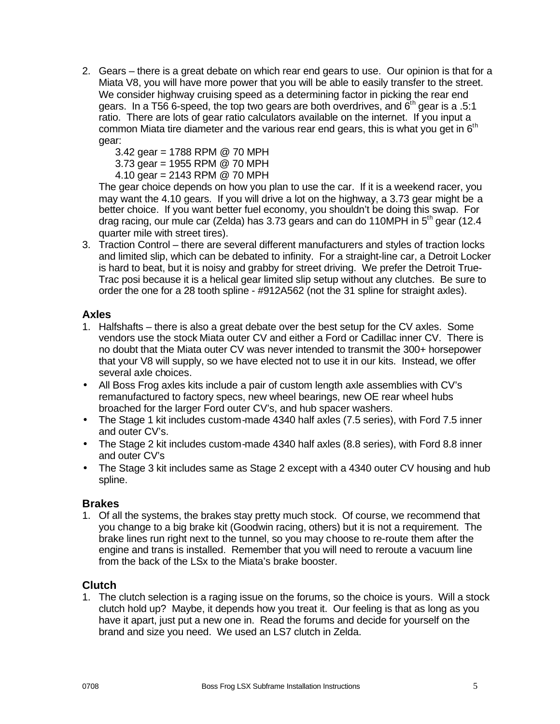- 2. Gears there is a great debate on which rear end gears to use. Our opinion is that for a Miata V8, you will have more power that you will be able to easily transfer to the street. We consider highway cruising speed as a determining factor in picking the rear end gears. In a T56 6-speed, the top two gears are both overdrives, and  $6<sup>th</sup>$  gear is a .5:1 ratio. There are lots of gear ratio calculators available on the internet. If you input a common Miata tire diameter and the various rear end gears, this is what you get in  $6<sup>th</sup>$ gear:
	- 3.42 gear = 1788 RPM @ 70 MPH

3.73 gear = 1955 RPM @ 70 MPH

4.10 gear = 2143 RPM @ 70 MPH

The gear choice depends on how you plan to use the car. If it is a weekend racer, you may want the 4.10 gears. If you will drive a lot on the highway, a 3.73 gear might be a better choice. If you want better fuel economy, you shouldn't be doing this swap. For drag racing, our mule car (Zelda) has 3.73 gears and can do 110MPH in  $5<sup>th</sup>$  gear (12.4 quarter mile with street tires).

3. Traction Control – there are several different manufacturers and styles of traction locks and limited slip, which can be debated to infinity. For a straight-line car, a Detroit Locker is hard to beat, but it is noisy and grabby for street driving. We prefer the Detroit True-Trac posi because it is a helical gear limited slip setup without any clutches. Be sure to order the one for a 28 tooth spline - #912A562 (not the 31 spline for straight axles).

# **Axles**

- 1. Halfshafts there is also a great debate over the best setup for the CV axles. Some vendors use the stock Miata outer CV and either a Ford or Cadillac inner CV. There is no doubt that the Miata outer CV was never intended to transmit the 300+ horsepower that your V8 will supply, so we have elected not to use it in our kits. Instead, we offer several axle choices.
- All Boss Frog axles kits include a pair of custom length axle assemblies with CV's remanufactured to factory specs, new wheel bearings, new OE rear wheel hubs broached for the larger Ford outer CV's, and hub spacer washers.
- The Stage 1 kit includes custom-made 4340 half axles (7.5 series), with Ford 7.5 inner and outer CV's.
- The Stage 2 kit includes custom-made 4340 half axles (8.8 series), with Ford 8.8 inner and outer CV's
- The Stage 3 kit includes same as Stage 2 except with a 4340 outer CV housing and hub spline.

### **Brakes**

1. Of all the systems, the brakes stay pretty much stock. Of course, we recommend that you change to a big brake kit (Goodwin racing, others) but it is not a requirement. The brake lines run right next to the tunnel, so you may choose to re-route them after the engine and trans is installed. Remember that you will need to reroute a vacuum line from the back of the LSx to the Miata's brake booster.

# **Clutch**

1. The clutch selection is a raging issue on the forums, so the choice is yours. Will a stock clutch hold up? Maybe, it depends how you treat it. Our feeling is that as long as you have it apart, just put a new one in. Read the forums and decide for yourself on the brand and size you need. We used an LS7 clutch in Zelda.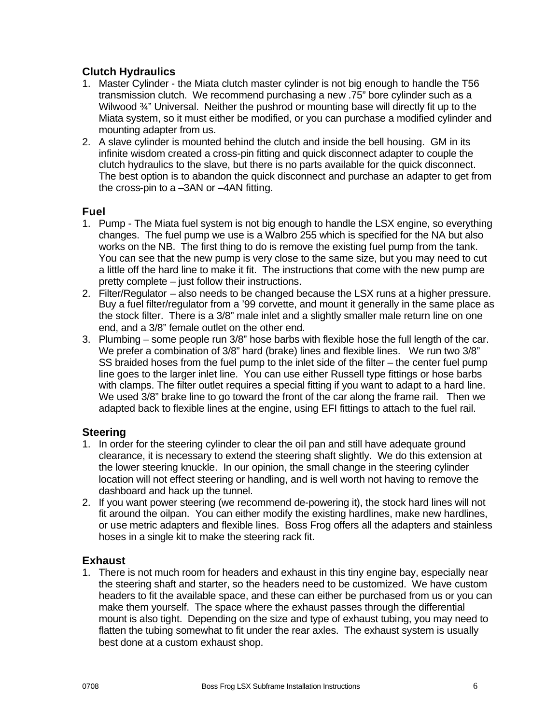# **Clutch Hydraulics**

- 1. Master Cylinder the Miata clutch master cylinder is not big enough to handle the T56 transmission clutch. We recommend purchasing a new .75" bore cylinder such as a Wilwood 3<sup>4</sup> Universal. Neither the pushrod or mounting base will directly fit up to the Miata system, so it must either be modified, or you can purchase a modified cylinder and mounting adapter from us.
- 2. A slave cylinder is mounted behind the clutch and inside the bell housing. GM in its infinite wisdom created a cross-pin fitting and quick disconnect adapter to couple the clutch hydraulics to the slave, but there is no parts available for the quick disconnect. The best option is to abandon the quick disconnect and purchase an adapter to get from the cross-pin to a –3AN or –4AN fitting.

# **Fuel**

- 1. Pump The Miata fuel system is not big enough to handle the LSX engine, so everything changes. The fuel pump we use is a Walbro 255 which is specified for the NA but also works on the NB. The first thing to do is remove the existing fuel pump from the tank. You can see that the new pump is very close to the same size, but you may need to cut a little off the hard line to make it fit. The instructions that come with the new pump are pretty complete – just follow their instructions.
- 2. Filter/Regulator also needs to be changed because the LSX runs at a higher pressure. Buy a fuel filter/regulator from a '99 corvette, and mount it generally in the same place as the stock filter. There is a 3/8" male inlet and a slightly smaller male return line on one end, and a 3/8" female outlet on the other end.
- 3. Plumbing some people run 3/8" hose barbs with flexible hose the full length of the car. We prefer a combination of 3/8" hard (brake) lines and flexible lines. We run two 3/8" SS braided hoses from the fuel pump to the inlet side of the filter – the center fuel pump line goes to the larger inlet line. You can use either Russell type fittings or hose barbs with clamps. The filter outlet requires a special fitting if you want to adapt to a hard line. We used 3/8" brake line to go toward the front of the car along the frame rail. Then we adapted back to flexible lines at the engine, using EFI fittings to attach to the fuel rail.

# **Steering**

- 1. In order for the steering cylinder to clear the oil pan and still have adequate ground clearance, it is necessary to extend the steering shaft slightly. We do this extension at the lower steering knuckle. In our opinion, the small change in the steering cylinder location will not effect steering or handling, and is well worth not having to remove the dashboard and hack up the tunnel.
- 2. If you want power steering (we recommend de-powering it), the stock hard lines will not fit around the oilpan. You can either modify the existing hardlines, make new hardlines, or use metric adapters and flexible lines. Boss Frog offers all the adapters and stainless hoses in a single kit to make the steering rack fit.

# **Exhaust**

1. There is not much room for headers and exhaust in this tiny engine bay, especially near the steering shaft and starter, so the headers need to be customized. We have custom headers to fit the available space, and these can either be purchased from us or you can make them yourself. The space where the exhaust passes through the differential mount is also tight. Depending on the size and type of exhaust tubing, you may need to flatten the tubing somewhat to fit under the rear axles. The exhaust system is usually best done at a custom exhaust shop.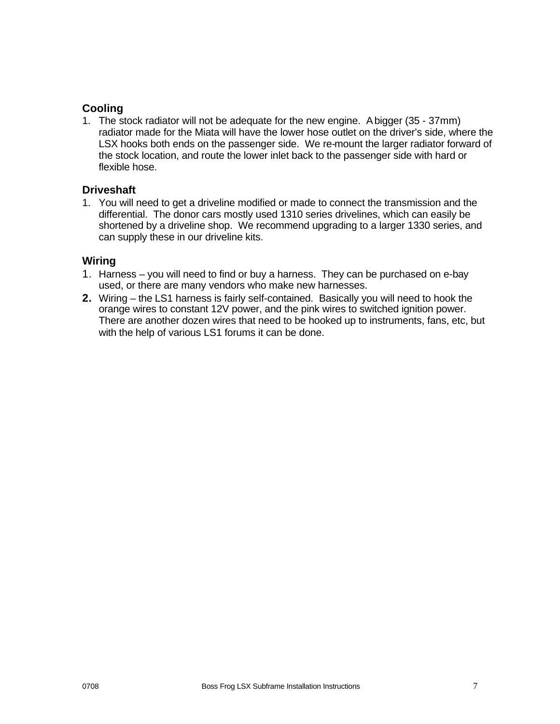# **Cooling**

1. The stock radiator will not be adequate for the new engine. A bigger (35 - 37mm) radiator made for the Miata will have the lower hose outlet on the driver's side, where the LSX hooks both ends on the passenger side. We re-mount the larger radiator forward of the stock location, and route the lower inlet back to the passenger side with hard or flexible hose.

# **Driveshaft**

1. You will need to get a driveline modified or made to connect the transmission and the differential. The donor cars mostly used 1310 series drivelines, which can easily be shortened by a driveline shop. We recommend upgrading to a larger 1330 series, and can supply these in our driveline kits.

# **Wiring**

- 1. Harness you will need to find or buy a harness. They can be purchased on e-bay used, or there are many vendors who make new harnesses.
- **2.** Wiring the LS1 harness is fairly self-contained. Basically you will need to hook the orange wires to constant 12V power, and the pink wires to switched ignition power. There are another dozen wires that need to be hooked up to instruments, fans, etc, but with the help of various LS1 forums it can be done.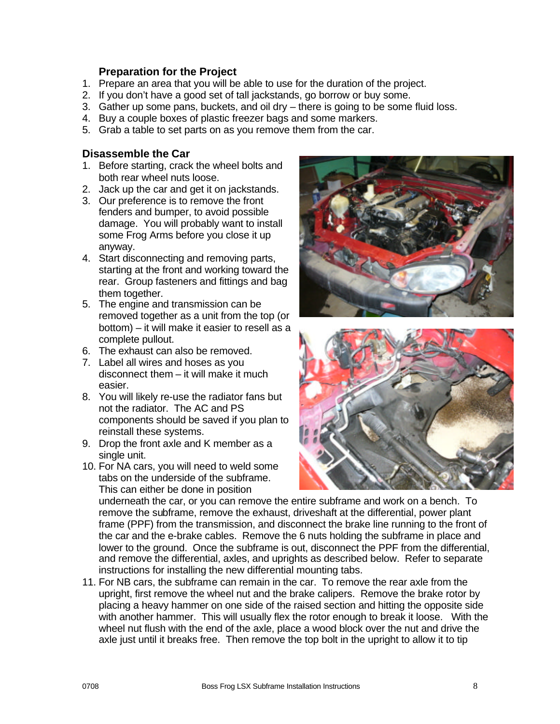# **Preparation for the Project**

- 1. Prepare an area that you will be able to use for the duration of the project.
- 2. If you don't have a good set of tall jackstands, go borrow or buy some.
- 3. Gather up some pans, buckets, and oil dry there is going to be some fluid loss.
- 4. Buy a couple boxes of plastic freezer bags and some markers.
- 5. Grab a table to set parts on as you remove them from the car.

### **Disassemble the Car**

- 1. Before starting, crack the wheel bolts and both rear wheel nuts loose.
- 2. Jack up the car and get it on jackstands.
- 3. Our preference is to remove the front fenders and bumper, to avoid possible damage. You will probably want to install some Frog Arms before you close it up anyway.
- 4. Start disconnecting and removing parts, starting at the front and working toward the rear. Group fasteners and fittings and bag them together.
- 5. The engine and transmission can be removed together as a unit from the top (or bottom) – it will make it easier to resell as a complete pullout.
- 6. The exhaust can also be removed.
- 7. Label all wires and hoses as you disconnect them – it will make it much easier.
- 8. You will likely re-use the radiator fans but not the radiator. The AC and PS components should be saved if you plan to reinstall these systems.
- 9. Drop the front axle and K member as a single unit.
- 10. For NA cars, you will need to weld some tabs on the underside of the subframe. This can either be done in position





underneath the car, or you can remove the entire subframe and work on a bench. To remove the subframe, remove the exhaust, driveshaft at the differential, power plant frame (PPF) from the transmission, and disconnect the brake line running to the front of the car and the e-brake cables. Remove the 6 nuts holding the subframe in place and lower to the ground. Once the subframe is out, disconnect the PPF from the differential, and remove the differential, axles, and uprights as described below. Refer to separate instructions for installing the new differential mounting tabs.

11. For NB cars, the subframe can remain in the car. To remove the rear axle from the upright, first remove the wheel nut and the brake calipers. Remove the brake rotor by placing a heavy hammer on one side of the raised section and hitting the opposite side with another hammer. This will usually flex the rotor enough to break it loose. With the wheel nut flush with the end of the axle, place a wood block over the nut and drive the axle just until it breaks free. Then remove the top bolt in the upright to allow it to tip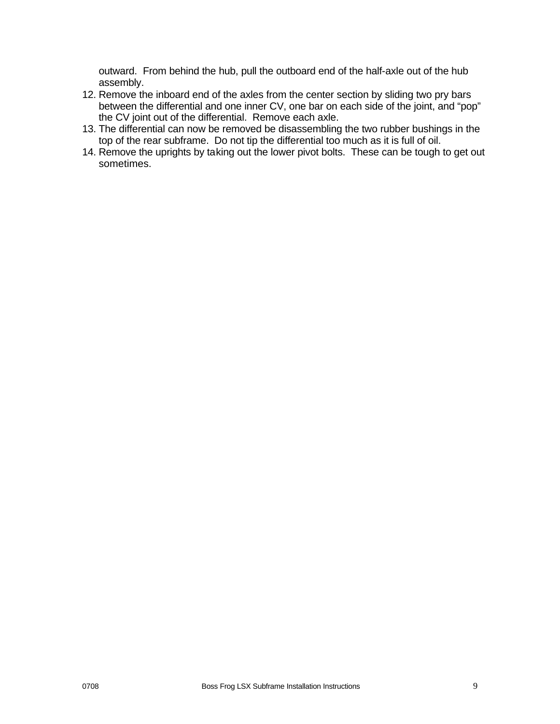outward. From behind the hub, pull the outboard end of the half-axle out of the hub assembly.

- 12. Remove the inboard end of the axles from the center section by sliding two pry bars between the differential and one inner CV, one bar on each side of the joint, and "pop" the CV joint out of the differential. Remove each axle.
- 13. The differential can now be removed be disassembling the two rubber bushings in the top of the rear subframe. Do not tip the differential too much as it is full of oil.
- 14. Remove the uprights by taking out the lower pivot bolts. These can be tough to get out sometimes.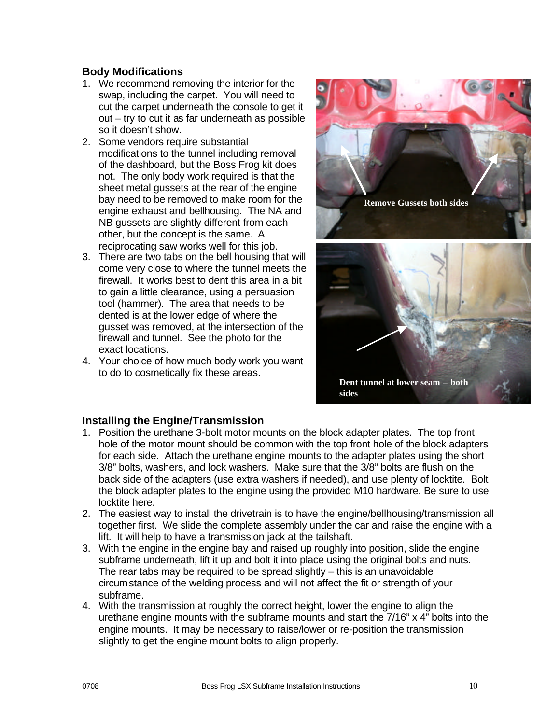# **Body Modifications**

- 1. We recommend removing the interior for the swap, including the carpet. You will need to cut the carpet underneath the console to get it out – try to cut it as far underneath as possible so it doesn't show.
- 2. Some vendors require substantial modifications to the tunnel including removal of the dashboard, but the Boss Frog kit does not. The only body work required is that the sheet metal gussets at the rear of the engine bay need to be removed to make room for the engine exhaust and bellhousing. The NA and NB gussets are slightly different from each other, but the concept is the same. A reciprocating saw works well for this job.
- 3. There are two tabs on the bell housing that will come very close to where the tunnel meets the firewall. It works best to dent this area in a bit to gain a little clearance, using a persuasion tool (hammer). The area that needs to be dented is at the lower edge of where the gusset was removed, at the intersection of the firewall and tunnel. See the photo for the exact locations.
- 4. Your choice of how much body work you want to do to cosmetically fix these areas.



# **Installing the Engine/Transmission**

- 1. Position the urethane 3-bolt motor mounts on the block adapter plates. The top front hole of the motor mount should be common with the top front hole of the block adapters for each side. Attach the urethane engine mounts to the adapter plates using the short 3/8" bolts, washers, and lock washers. Make sure that the 3/8" bolts are flush on the back side of the adapters (use extra washers if needed), and use plenty of locktite. Bolt the block adapter plates to the engine using the provided M10 hardware. Be sure to use locktite here.
- 2. The easiest way to install the drivetrain is to have the engine/bellhousing/transmission all together first. We slide the complete assembly under the car and raise the engine with a lift. It will help to have a transmission jack at the tailshaft.
- 3. With the engine in the engine bay and raised up roughly into position, slide the engine subframe underneath, lift it up and bolt it into place using the original bolts and nuts. The rear tabs may be required to be spread slightly – this is an unavoidable circumstance of the welding process and will not affect the fit or strength of your subframe.
- 4. With the transmission at roughly the correct height, lower the engine to align the urethane engine mounts with the subframe mounts and start the 7/16" x 4" bolts into the engine mounts. It may be necessary to raise/lower or re-position the transmission slightly to get the engine mount bolts to align properly.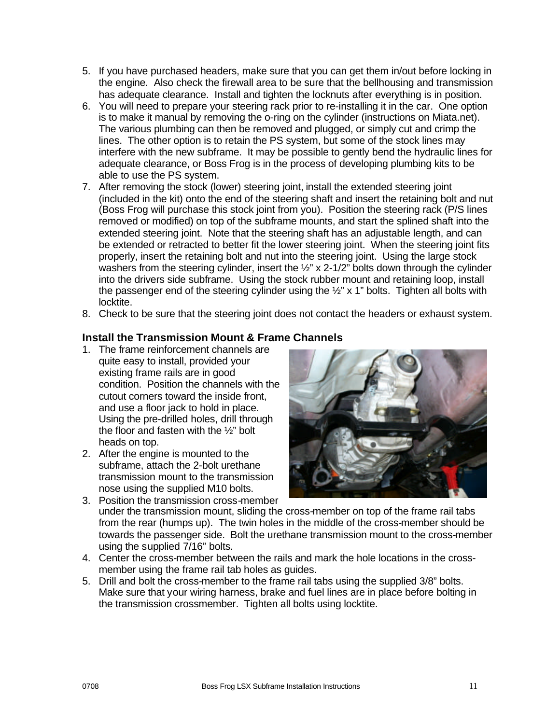- 5. If you have purchased headers, make sure that you can get them in/out before locking in the engine. Also check the firewall area to be sure that the bellhousing and transmission has adequate clearance. Install and tighten the locknuts after everything is in position.
- 6. You will need to prepare your steering rack prior to re-installing it in the car. One option is to make it manual by removing the o-ring on the cylinder (instructions on Miata.net). The various plumbing can then be removed and plugged, or simply cut and crimp the lines. The other option is to retain the PS system, but some of the stock lines may interfere with the new subframe. It may be possible to gently bend the hydraulic lines for adequate clearance, or Boss Frog is in the process of developing plumbing kits to be able to use the PS system.
- 7. After removing the stock (lower) steering joint, install the extended steering joint (included in the kit) onto the end of the steering shaft and insert the retaining bolt and nut (Boss Frog will purchase this stock joint from you). Position the steering rack (P/S lines removed or modified) on top of the subframe mounts, and start the splined shaft into the extended steering joint. Note that the steering shaft has an adjustable length, and can be extended or retracted to better fit the lower steering joint. When the steering joint fits properly, insert the retaining bolt and nut into the steering joint. Using the large stock washers from the steering cylinder, insert the 1/2" x 2-1/2" bolts down through the cylinder into the drivers side subframe. Using the stock rubber mount and retaining loop, install the passenger end of the steering cylinder using the  $\frac{1}{2}$ " x 1" bolts. Tighten all bolts with locktite.
- 8. Check to be sure that the steering joint does not contact the headers or exhaust system.

# **Install the Transmission Mount & Frame Channels**

- 1. The frame reinforcement channels are quite easy to install, provided your existing frame rails are in good condition. Position the channels with the cutout corners toward the inside front, and use a floor jack to hold in place. Using the pre-drilled holes, drill through the floor and fasten with the ½" bolt heads on top.
- 2. After the engine is mounted to the subframe, attach the 2-bolt urethane transmission mount to the transmission nose using the supplied M10 bolts.



- 3. Position the transmission cross-member under the transmission mount, sliding the cross-member on top of the frame rail tabs from the rear (humps up). The twin holes in the middle of the cross-member should be towards the passenger side. Bolt the urethane transmission mount to the cross-member using the supplied 7/16" bolts.
- 4. Center the cross-member between the rails and mark the hole locations in the crossmember using the frame rail tab holes as guides.
- 5. Drill and bolt the cross-member to the frame rail tabs using the supplied 3/8" bolts. Make sure that your wiring harness, brake and fuel lines are in place before bolting in the transmission crossmember. Tighten all bolts using locktite.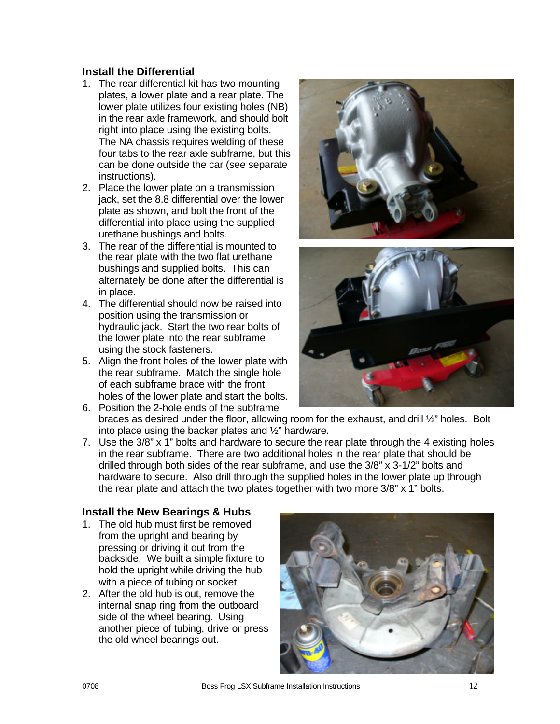# **Install the Differential**

- 1. The rear differential kit has two mounting plates, a lower plate and a rear plate. The lower plate utilizes four existing holes (NB) in the rear axle framework, and should bolt right into place using the existing bolts. The NA chassis requires welding of these four tabs to the rear axle subframe, but this can be done outside the car (see separate instructions).
- 2. Place the lower plate on a transmission jack, set the 8.8 differential over the lower plate as shown, and bolt the front of the differential into place using the supplied urethane bushings and bolts.
- 3. The rear of the differential is mounted to the rear plate with the two flat urethane bushings and supplied bolts. This can alternately be done after the differential is in place.
- 4. The differential should now be raised into position using the transmission or hydraulic jack. Start the two rear bolts of the lower plate into the rear subframe using the stock fasteners.
- 5. Align the front holes of the lower plate with the rear subframe. Match the single hole of each subframe brace with the front holes of the lower plate and start the bolts.
- 6. Position the 2-hole ends of the subframe braces as desired under the floor, allowing room for the exhaust, and drill ½" holes. Bolt into place using the backer plates and ½" hardware.
- 7. Use the 3/8" x 1" bolts and hardware to secure the rear plate through the 4 existing holes in the rear subframe. There are two additional holes in the rear plate that should be drilled through both sides of the rear subframe, and use the 3/8" x 3-1/2" bolts and hardware to secure. Also drill through the supplied holes in the lower plate up through the rear plate and attach the two plates together with two more 3/8" x 1" bolts.

# **Install the New Bearings & Hubs**

- 1. The old hub must first be removed from the upright and bearing by pressing or driving it out from the backside. We built a simple fixture to hold the upright while driving the hub with a piece of tubing or socket.
- 2. After the old hub is out, remove the internal snap ring from the outboard side of the wheel bearing. Using another piece of tubing, drive or press the old wheel bearings out.